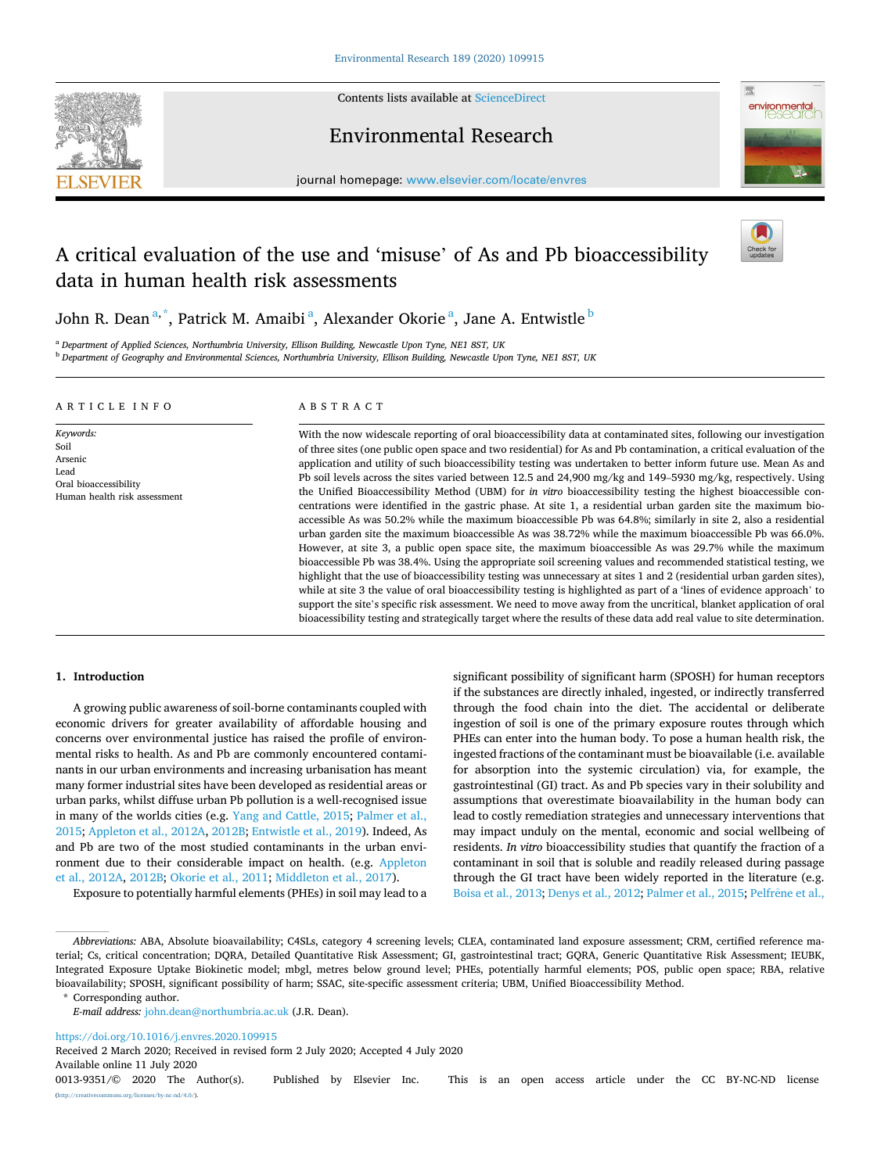

Contents lists available at [ScienceDirect](www.sciencedirect.com/science/journal/00139351)

# Environmental Research



journal homepage: [www.elsevier.com/locate/envres](https://www.elsevier.com/locate/envres) 

# A critical evaluation of the use and 'misuse' of As and Pb bioaccessibility data in human health risk assessments



John R. Dean $^{\mathrm{a},\mathrm{*}}$ , Patrick M. Amaibi $^{\mathrm{a}}$ , Alexander Okorie $^{\mathrm{a}}$ , Jane A. Entwistle $^{\mathrm{b}}$ 

<sup>a</sup> *Department of Applied Sciences, Northumbria University, Ellison Building, Newcastle Upon Tyne, NE1 8ST, UK* 

<sup>b</sup> *Department of Geography and Environmental Sciences, Northumbria University, Ellison Building, Newcastle Upon Tyne, NE1 8ST, UK* 

#### ARTICLE INFO

*Keywords:*  Soil Arsenic Lead Oral bioaccessibility Human health risk assessment

# ABSTRACT

With the now widescale reporting of oral bioaccessibility data at contaminated sites, following our investigation of three sites (one public open space and two residential) for As and Pb contamination, a critical evaluation of the application and utility of such bioaccessibility testing was undertaken to better inform future use. Mean As and Pb soil levels across the sites varied between 12.5 and 24,900 mg/kg and 149–5930 mg/kg, respectively. Using the Unified Bioaccessibility Method (UBM) for *in vitro* bioaccessibility testing the highest bioaccessible concentrations were identified in the gastric phase. At site 1, a residential urban garden site the maximum bioaccessible As was 50.2% while the maximum bioaccessible Pb was 64.8%; similarly in site 2, also a residential urban garden site the maximum bioaccessible As was 38.72% while the maximum bioaccessible Pb was 66.0%. However, at site 3, a public open space site, the maximum bioaccessible As was 29.7% while the maximum bioaccessible Pb was 38.4%. Using the appropriate soil screening values and recommended statistical testing, we highlight that the use of bioaccessibility testing was unnecessary at sites 1 and 2 (residential urban garden sites), while at site 3 the value of oral bioaccessibility testing is highlighted as part of a 'lines of evidence approach' to support the site's specific risk assessment. We need to move away from the uncritical, blanket application of oral bioacessibility testing and strategically target where the results of these data add real value to site determination.

#### **1. Introduction**

A growing public awareness of soil-borne contaminants coupled with economic drivers for greater availability of affordable housing and concerns over environmental justice has raised the profile of environmental risks to health. As and Pb are commonly encountered contaminants in our urban environments and increasing urbanisation has meant many former industrial sites have been developed as residential areas or urban parks, whilst diffuse urban Pb pollution is a well-recognised issue in many of the worlds cities (e.g. [Yang and Cattle, 2015; Palmer et al.,](#page-8-0)  [2015; Appleton et al., 2012A, 2012B](#page-8-0); [Entwistle et al., 2019\)](#page-8-0). Indeed, As and Pb are two of the most studied contaminants in the urban environment due to their considerable impact on health. (e.g. [Appleton](#page-8-0)  [et al., 2012A](#page-8-0), [2012B; Okorie et al., 2011; Middleton et al., 2017](#page-8-0)).

Exposure to potentially harmful elements (PHEs) in soil may lead to a

significant possibility of significant harm (SPOSH) for human receptors if the substances are directly inhaled, ingested, or indirectly transferred through the food chain into the diet. The accidental or deliberate ingestion of soil is one of the primary exposure routes through which PHEs can enter into the human body. To pose a human health risk, the ingested fractions of the contaminant must be bioavailable (i.e. available for absorption into the systemic circulation) via, for example, the gastrointestinal (GI) tract. As and Pb species vary in their solubility and assumptions that overestimate bioavailability in the human body can lead to costly remediation strategies and unnecessary interventions that may impact unduly on the mental, economic and social wellbeing of residents. *In vitro* bioaccessibility studies that quantify the fraction of a contaminant in soil that is soluble and readily released during passage through the GI tract have been widely reported in the literature (e.g. [Boisa et al., 2013; Denys et al., 2012](#page-8-0); [Palmer et al., 2015](#page-8-0); Pelfrêne et al.,

\* Corresponding author.

<https://doi.org/10.1016/j.envres.2020.109915>

Received 2 March 2020; Received in revised form 2 July 2020; Accepted 4 July 2020

Available online 11 July 2020

*Abbreviations:* ABA, Absolute bioavailability; C4SLs, category 4 screening levels; CLEA, contaminated land exposure assessment; CRM, certified reference material; Cs, critical concentration; DQRA, Detailed Quantitative Risk Assessment; GI, gastrointestinal tract; GQRA, Generic Quantitative Risk Assessment; IEUBK, Integrated Exposure Uptake Biokinetic model; mbgl, metres below ground level; PHEs, potentially harmful elements; POS, public open space; RBA, relative bioavailability; SPOSH, significant possibility of harm; SSAC, site-specific assessment criteria; UBM, Unified Bioaccessibility Method.

*E-mail address:* [john.dean@northumbria.ac.uk](mailto:john.dean@northumbria.ac.uk) (J.R. Dean).

<sup>0013-9351/© 2020</sup> The Author(s). Published by Elsevier Inc. This is an open access article under the CC BY-NC-ND license [\(http://creativecommons.org/licenses/by-nc-nd/4.0/\)](http://creativecommons.org/licenses/by-nc-nd/4.0/).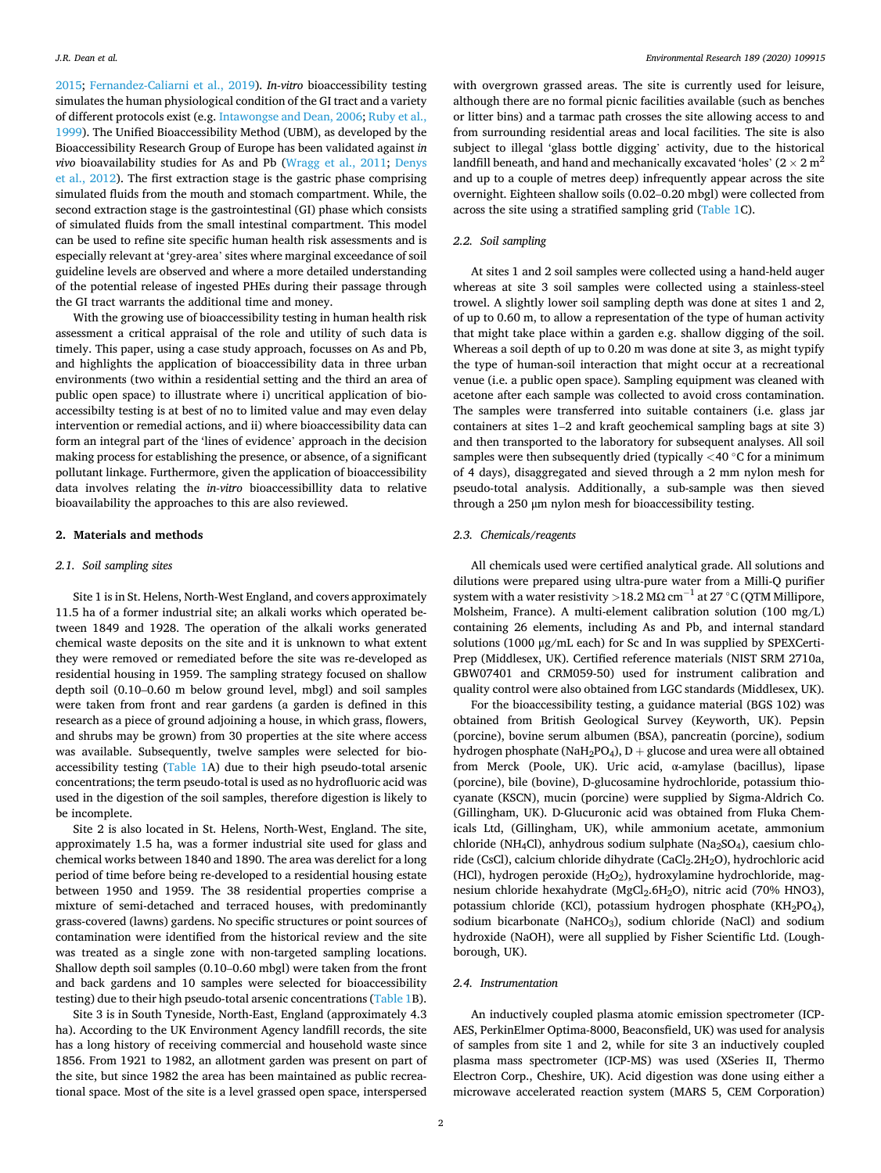[2015;](#page-8-0) [Fernandez-Caliarni et al., 2019](#page-8-0)). *In-vitro* bioaccessibility testing simulates the human physiological condition of the GI tract and a variety of different protocols exist (e.g. [Intawongse and Dean, 2006](#page-8-0); [Ruby et al.,](#page-8-0)  [1999\)](#page-8-0). The Unified Bioaccessibility Method (UBM), as developed by the Bioaccessibility Research Group of Europe has been validated against *in vivo* bioavailability studies for As and Pb [\(Wragg et al., 2011;](#page-8-0) [Denys](#page-8-0)  [et al., 2012\)](#page-8-0). The first extraction stage is the gastric phase comprising simulated fluids from the mouth and stomach compartment. While, the second extraction stage is the gastrointestinal (GI) phase which consists of simulated fluids from the small intestinal compartment. This model can be used to refine site specific human health risk assessments and is especially relevant at 'grey-area' sites where marginal exceedance of soil guideline levels are observed and where a more detailed understanding of the potential release of ingested PHEs during their passage through the GI tract warrants the additional time and money.

With the growing use of bioaccessibility testing in human health risk assessment a critical appraisal of the role and utility of such data is timely. This paper, using a case study approach, focusses on As and Pb, and highlights the application of bioaccessibility data in three urban environments (two within a residential setting and the third an area of public open space) to illustrate where i) uncritical application of bioaccessibilty testing is at best of no to limited value and may even delay intervention or remedial actions, and ii) where bioaccessibility data can form an integral part of the 'lines of evidence' approach in the decision making process for establishing the presence, or absence, of a significant pollutant linkage. Furthermore, given the application of bioaccessibility data involves relating the *in-vitro* bioaccessibillity data to relative bioavailability the approaches to this are also reviewed.

#### **2. Materials and methods**

#### *2.1. Soil sampling sites*

Site 1 is in St. Helens, North-West England, and covers approximately 11.5 ha of a former industrial site; an alkali works which operated between 1849 and 1928. The operation of the alkali works generated chemical waste deposits on the site and it is unknown to what extent they were removed or remediated before the site was re-developed as residential housing in 1959. The sampling strategy focused on shallow depth soil (0.10–0.60 m below ground level, mbgl) and soil samples were taken from front and rear gardens (a garden is defined in this research as a piece of ground adjoining a house, in which grass, flowers, and shrubs may be grown) from 30 properties at the site where access was available. Subsequently, twelve samples were selected for bioaccessibility testing [\(Table 1](#page-2-0)A) due to their high pseudo-total arsenic concentrations; the term pseudo-total is used as no hydrofluoric acid was used in the digestion of the soil samples, therefore digestion is likely to be incomplete.

Site 2 is also located in St. Helens, North-West, England. The site, approximately 1.5 ha, was a former industrial site used for glass and chemical works between 1840 and 1890. The area was derelict for a long period of time before being re-developed to a residential housing estate between 1950 and 1959. The 38 residential properties comprise a mixture of semi-detached and terraced houses, with predominantly grass-covered (lawns) gardens. No specific structures or point sources of contamination were identified from the historical review and the site was treated as a single zone with non-targeted sampling locations. Shallow depth soil samples (0.10–0.60 mbgl) were taken from the front and back gardens and 10 samples were selected for bioaccessibility testing) due to their high pseudo-total arsenic concentrations ([Table 1B](#page-2-0)).

Site 3 is in South Tyneside, North-East, England (approximately 4.3 ha). According to the UK Environment Agency landfill records, the site has a long history of receiving commercial and household waste since 1856. From 1921 to 1982, an allotment garden was present on part of the site, but since 1982 the area has been maintained as public recreational space. Most of the site is a level grassed open space, interspersed

with overgrown grassed areas. The site is currently used for leisure, although there are no formal picnic facilities available (such as benches or litter bins) and a tarmac path crosses the site allowing access to and from surrounding residential areas and local facilities. The site is also subject to illegal 'glass bottle digging' activity, due to the historical landfill beneath, and hand and mechanically excavated 'holes' ( $2 \times 2$  m<sup>2</sup> and up to a couple of metres deep) infrequently appear across the site overnight. Eighteen shallow soils (0.02–0.20 mbgl) were collected from across the site using a stratified sampling grid [\(Table 1C](#page-2-0)).

### *2.2. Soil sampling*

At sites 1 and 2 soil samples were collected using a hand-held auger whereas at site 3 soil samples were collected using a stainless-steel trowel. A slightly lower soil sampling depth was done at sites 1 and 2, of up to 0.60 m, to allow a representation of the type of human activity that might take place within a garden e.g. shallow digging of the soil. Whereas a soil depth of up to 0.20 m was done at site 3, as might typify the type of human-soil interaction that might occur at a recreational venue (i.e. a public open space). Sampling equipment was cleaned with acetone after each sample was collected to avoid cross contamination. The samples were transferred into suitable containers (i.e. glass jar containers at sites 1–2 and kraft geochemical sampling bags at site 3) and then transported to the laboratory for subsequent analyses. All soil samples were then subsequently dried (typically <40 °C for a minimum of 4 days), disaggregated and sieved through a 2 mm nylon mesh for pseudo-total analysis. Additionally, a sub-sample was then sieved through a 250 μm nylon mesh for bioaccessibility testing.

#### *2.3. Chemicals/reagents*

All chemicals used were certified analytical grade. All solutions and dilutions were prepared using ultra-pure water from a Milli-Q purifier system with a water resistivity >18.2 MΩ cm<sup>-1</sup> at 27 °C (QTM Millipore, Molsheim, France). A multi-element calibration solution (100 mg/L) containing 26 elements, including As and Pb, and internal standard solutions (1000 μg/mL each) for Sc and In was supplied by SPEXCerti-Prep (Middlesex, UK). Certified reference materials (NIST SRM 2710a, GBW07401 and CRM059-50) used for instrument calibration and quality control were also obtained from LGC standards (Middlesex, UK).

For the bioaccessibility testing, a guidance material (BGS 102) was obtained from British Geological Survey (Keyworth, UK). Pepsin (porcine), bovine serum albumen (BSA), pancreatin (porcine), sodium hydrogen phosphate (NaH<sub>2</sub>PO<sub>4</sub>), D + glucose and urea were all obtained from Merck (Poole, UK). Uric acid, α-amylase (bacillus), lipase (porcine), bile (bovine), D-glucosamine hydrochloride, potassium thiocyanate (KSCN), mucin (porcine) were supplied by Sigma-Aldrich Co. (Gillingham, UK). D-Glucuronic acid was obtained from Fluka Chemicals Ltd, (Gillingham, UK), while ammonium acetate, ammonium chloride (NH<sub>4</sub>Cl), anhydrous sodium sulphate (Na<sub>2</sub>SO<sub>4</sub>), caesium chloride (CsCl), calcium chloride dihydrate (CaCl<sub>2</sub>.2H<sub>2</sub>O), hydrochloric acid (HCl), hydrogen peroxide  $(H<sub>2</sub>O<sub>2</sub>)$ , hydroxylamine hydrochloride, magnesium chloride hexahydrate (MgCl<sub>2</sub>.6H<sub>2</sub>O), nitric acid (70% HNO3), potassium chloride (KCl), potassium hydrogen phosphate (KH<sub>2</sub>PO<sub>4</sub>), sodium bicarbonate (NaHCO<sub>3</sub>), sodium chloride (NaCl) and sodium hydroxide (NaOH), were all supplied by Fisher Scientific Ltd. (Loughborough, UK).

#### *2.4. Instrumentation*

An inductively coupled plasma atomic emission spectrometer (ICP-AES, PerkinElmer Optima-8000, Beaconsfield, UK) was used for analysis of samples from site 1 and 2, while for site 3 an inductively coupled plasma mass spectrometer (ICP-MS) was used (XSeries II, Thermo Electron Corp., Cheshire, UK). Acid digestion was done using either a microwave accelerated reaction system (MARS 5, CEM Corporation)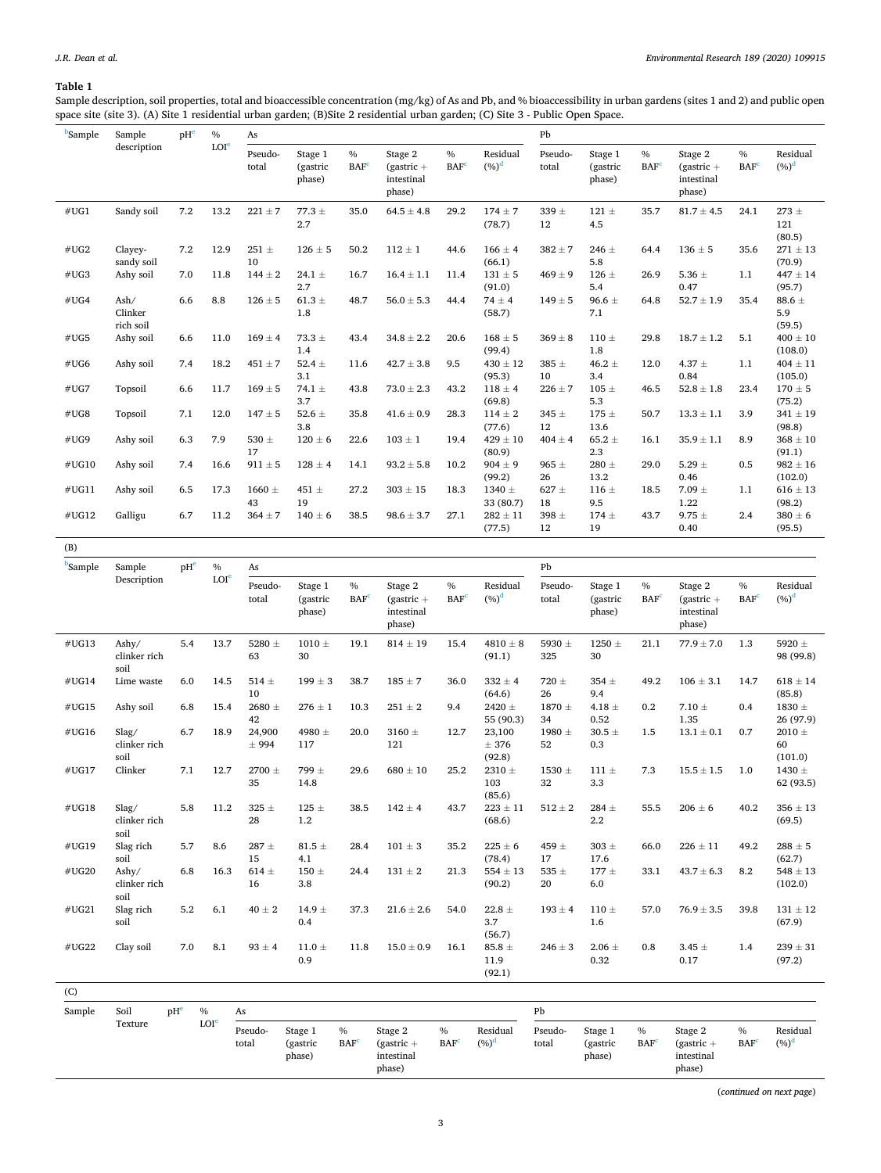## <span id="page-2-0"></span>**Table 1**

Sample description, soil properties, total and bioaccessible concentration (mg/kg) of As and Pb, and % bioaccessibility in urban gardens (sites 1 and 2) and public open space site (site 3). (A) Site 1 residential urban garden; (B)Site 2 residential urban garden; (C) Site 3 - Public Open Space.

| <b>Sample</b> | Sample<br>description        | pH <sup>e</sup> | $\%$             | As                           |                               |                          |                                                 |                          | Pb                      |                  |                               |                          |                                                 |                                   |                             |
|---------------|------------------------------|-----------------|------------------|------------------------------|-------------------------------|--------------------------|-------------------------------------------------|--------------------------|-------------------------|------------------|-------------------------------|--------------------------|-------------------------------------------------|-----------------------------------|-----------------------------|
|               |                              |                 | LOI <sup>e</sup> | Pseudo-<br>total             | Stage 1<br>(gastric<br>phase) | $\%$<br>BAF <sup>c</sup> | Stage 2<br>$(gastric +$<br>intestinal<br>phase) | $\%$<br>BAF <sup>c</sup> | Residual<br>$(\%)^d$    | Pseudo-<br>total | Stage 1<br>(gastric<br>phase) | $\%$<br>BAF <sup>c</sup> | Stage 2<br>$(gastric +$<br>intestinal<br>phase) | $\frac{0}{0}$<br>BAF <sup>c</sup> | Residual<br>$(%)^d$         |
| #UG1          | Sandy soil                   | 7.2             | 13.2             | $221 \pm 7$                  | $77.3 +$<br>2.7               | 35.0                     | $64.5 \pm 4.8$                                  | 29.2                     | $174 \pm 7$<br>(78.7)   | $339 \pm$<br>12  | $121 \pm$<br>4.5              | 35.7                     | $81.7 \pm 4.5$                                  | 24.1                              | $273 \pm$<br>121<br>(80.5)  |
| #UG2          | Clayey-<br>sandy soil        | 7.2             | 12.9             | $251 \pm$<br>10 <sup>1</sup> | $126 \pm 5$                   | 50.2                     | $112 \pm 1$                                     | 44.6                     | $166 \pm 4$<br>(66.1)   | $382 \pm 7$      | $246 \pm$<br>5.8              | 64.4                     | $136 \pm 5$                                     | 35.6                              | $271 \pm 13$<br>(70.9)      |
| #UG3          | Ashy soil                    | 7.0             | 11.8             | $144 \pm 2$                  | 24.1 $\pm$<br>2.7             | 16.7                     | $16.4 \pm 1.1$                                  | 11.4                     | $131 \pm 5$<br>(91.0)   | $469 \pm 9$      | $126 \pm$<br>5.4              | 26.9                     | 5.36 $\pm$<br>0.47                              | 1.1                               | $447 \pm 14$<br>(95.7)      |
| #UG4          | Ash/<br>Clinker<br>rich soil | 6.6             | 8.8              | $126 \pm 5$                  | $61.3 \pm$<br>1.8             | 48.7                     | $56.0 \pm 5.3$                                  | 44.4                     | $74 \pm 4$<br>(58.7)    | $149 \pm 5$      | $96.6 \pm$<br>7.1             | 64.8                     | $52.7 \pm 1.9$                                  | 35.4                              | $88.6 \pm$<br>5.9<br>(59.5) |
| #UG5          | Ashy soil                    | 6.6             | 11.0             | $169 \pm 4$                  | $73.3 \pm$<br>1.4             | 43.4                     | $34.8 \pm 2.2$                                  | 20.6                     | $168 \pm 5$<br>(99.4)   | $369 \pm 8$      | $110 \pm$<br>1.8              | 29.8                     | $18.7 \pm 1.2$                                  | 5.1                               | $400 \pm 10$<br>(108.0)     |
| #UG6          | Ashy soil                    | 7.4             | 18.2             | $451 \pm 7$                  | 52.4 $\pm$<br>3.1             | 11.6                     | $42.7 \pm 3.8$                                  | 9.5                      | $430 \pm 12$<br>(95.3)  | $385 \pm$<br>10  | $46.2 \pm$<br>3.4             | 12.0                     | 4.37 $\pm$<br>0.84                              | 1.1                               | $404 \pm 11$<br>(105.0)     |
| #UG7          | Topsoil                      | 6.6             | 11.7             | $169 \pm 5$                  | 74.1 $\pm$<br>3.7             | 43.8                     | $73.0 \pm 2.3$                                  | 43.2                     | $118 \pm 4$<br>(69.8)   | $226 \pm 7$      | $105 \pm$<br>5.3              | 46.5                     | $52.8 \pm 1.8$                                  | 23.4                              | $170 \pm 5$<br>(75.2)       |
| #UG8          | Topsoil                      | 7.1             | 12.0             | $147 \pm 5$                  | 52.6 $\pm$<br>3.8             | 35.8                     | $41.6 \pm 0.9$                                  | 28.3                     | $114 \pm 2$<br>(77.6)   | $345 \pm$<br>12  | $175 \pm$<br>13.6             | 50.7                     | $13.3 \pm 1.1$                                  | 3.9                               | $341 \pm 19$<br>(98.8)      |
| #UG9          | Ashy soil                    | 6.3             | 7.9              | 530 $\pm$<br>17              | $120 \pm 6$                   | 22.6                     | $103 \pm 1$                                     | 19.4                     | $429 \pm 10$<br>(80.9)  | $404 \pm 4$      | $65.2 \pm$<br>2.3             | 16.1                     | $35.9 \pm 1.1$                                  | 8.9                               | $368\pm10$<br>(91.1)        |
| #UG10         | Ashy soil                    | 7.4             | 16.6             | $911 \pm 5$                  | $128 \pm 4$                   | 14.1                     | $93.2 \pm 5.8$                                  | 10.2                     | $904 \pm 9$<br>(99.2)   | 965 $\pm$<br>26  | $280 \pm$<br>13.2             | 29.0                     | 5.29 $\pm$<br>0.46                              | 0.5                               | $982 \pm 16$<br>(102.0)     |
| #UG11         | Ashy soil                    | 6.5             | 17.3             | $1660 \pm$<br>43             | 451 $\pm$<br>19               | 27.2                     | $303 \pm 15$                                    | 18.3                     | $1340 \pm$<br>33 (80.7) | $627 \pm$<br>18  | $116 \pm$<br>9.5              | 18.5                     | $7.09 \pm$<br>1.22                              | 1.1                               | $616 \pm 13$<br>(98.2)      |
| #UG12         | Galligu                      | 6.7             | 11.2             | $364 \pm 7$                  | $140 \pm 6$                   | 38.5                     | $98.6 \pm 3.7$                                  | 27.1                     | $282 \pm 11$<br>(77.5)  | $398 \pm$<br>12  | $174 \pm$<br>19               | 43.7                     | $9.75 \pm$<br>0.40                              | 2.4                               | $380 \pm 6$<br>(95.5)       |

| <b>Sample</b> | Sample                        | pHe | $\%$             | As               |                               |                                   |                                                 |                                   |                              | Pb               |                               |                          |                                                 |                          |                             |
|---------------|-------------------------------|-----|------------------|------------------|-------------------------------|-----------------------------------|-------------------------------------------------|-----------------------------------|------------------------------|------------------|-------------------------------|--------------------------|-------------------------------------------------|--------------------------|-----------------------------|
|               | Description                   |     | LOI <sup>e</sup> | Pseudo-<br>total | Stage 1<br>(gastric<br>phase) | $\frac{0}{0}$<br>BAF <sup>c</sup> | Stage 2<br>$(gastric +$<br>intestinal<br>phase) | $\frac{0}{0}$<br>BAF <sup>c</sup> | Residual<br>$(\%)^d$         | Pseudo-<br>total | Stage 1<br>(gastric<br>phase) | $\%$<br>BAF <sup>c</sup> | Stage 2<br>$(gastric +$<br>intestinal<br>phase) | $\%$<br>BAF <sup>c</sup> | Residual<br>$(\%)^d$        |
| #UG13         | Ashy/<br>clinker rich<br>soil | 5.4 | 13.7             | 5280 ±<br>63     | 1010 $\pm$<br>30              | 19.1                              | $814 \pm 19$                                    | 15.4                              | $4810 \pm 8$<br>(91.1)       | 5930 ±<br>325    | $1250 \pm$<br>30              | 21.1                     | $77.9 \pm 7.0$                                  | 1.3                      | 5920 $\pm$<br>98 (99.8)     |
| #UG14         | Lime waste                    | 6.0 | 14.5             | 514 $\pm$<br>10  | $199 \pm 3$                   | 38.7                              | $185 \pm 7$                                     | 36.0                              | $332 \pm 4$<br>(64.6)        | $720 \pm$<br>26  | $354 \pm$<br>9.4              | 49.2                     | $106 \pm 3.1$                                   | 14.7                     | $618 \pm 14$<br>(85.8)      |
| #UG15         | Ashy soil                     | 6.8 | 15.4             | $2680 \pm$<br>42 | $276 \pm 1$                   | 10.3                              | $251\,\pm\,2$                                   | 9.4                               | 2420 $\pm$<br>55 (90.3)      | $1870 \pm$<br>34 | 4.18 $\pm$<br>0.52            | 0.2                      | $7.10 \pm$<br>1.35                              | 0.4                      | 1830 $\pm$<br>26 (97.9)     |
| #UG16         | Slag/<br>clinker rich<br>soil | 6.7 | 18.9             | 24,900<br>± 994  | 4980 ±<br>117                 | 20.0                              | $3160 \pm$<br>121                               | 12.7                              | 23,100<br>± 376<br>(92.8)    | 1980 $\pm$<br>52 | $30.5 \pm$<br>0.3             | 1.5                      | $13.1 \pm 0.1$                                  | 0.7                      | 2010 $\pm$<br>60<br>(101.0) |
| #UG17         | Clinker                       | 7.1 | 12.7             | $2700 \pm$<br>35 | 799 $\pm$<br>14.8             | 29.6                              | $680 \pm 10$                                    | 25.2                              | $2310 \pm$<br>103<br>(85.6)  | $1530 \pm$<br>32 | $111 \pm$<br>3.3              | 7.3                      | $15.5 \pm 1.5$                                  | 1.0                      | 1430 $\pm$<br>62 (93.5)     |
| #UG18         | Slag/<br>clinker rich<br>soil | 5.8 | 11.2             | $325 \pm$<br>28  | $125 \pm$<br>1.2              | 38.5                              | $142 \pm 4$                                     | 43.7                              | $223 \pm 11$<br>(68.6)       | $512 \pm 2$      | $284 \pm$<br>2.2              | 55.5                     | $206 \pm 6$                                     | 40.2                     | $356 \pm 13$<br>(69.5)      |
| #UG19         | Slag rich<br>soil             | 5.7 | 8.6              | 287 $\pm$<br>15  | 81.5 $\pm$<br>4.1             | 28.4                              | $101 \pm 3$                                     | 35.2                              | $225 \pm 6$<br>(78.4)        | 459 ±<br>17      | $303 \pm$<br>17.6             | 66.0                     | $226 \pm 11$                                    | 49.2                     | $288\pm5$<br>(62.7)         |
| #UG20         | Ashy/<br>clinker rich<br>soil | 6.8 | 16.3             | $614 \pm$<br>16  | 150 $\pm$<br>3.8              | 24.4                              | $131 \pm 2$                                     | 21.3                              | $554 \pm 13$<br>(90.2)       | 535 $\pm$<br>20  | $177 \pm$<br>6.0              | 33.1                     | $43.7 \pm 6.3$                                  | 8.2                      | $548 \pm 13$<br>(102.0)     |
| #UG21         | Slag rich<br>soil             | 5.2 | 6.1              | $40 \pm 2$       | $14.9 \pm$<br>0.4             | 37.3                              | $21.6 \pm 2.6$                                  | 54.0                              | 22.8 $\pm$<br>3.7<br>(56.7)  | $193 \pm 4$      | $110 \pm$<br>1.6              | 57.0                     | $76.9 \pm 3.5$                                  | 39.8                     | $131 \pm 12$<br>(67.9)      |
| #UG22         | Clay soil                     | 7.0 | 8.1              | $93 \pm 4$       | 11.0 $\pm$<br>0.9             | 11.8                              | $15.0 \pm 0.9$                                  | 16.1                              | 85.8 $\pm$<br>11.9<br>(92.1) | $246 \pm 3$      | 2.06 $\pm$<br>0.32            | 0.8                      | $3.45 \pm$<br>0.17                              | 1.4                      | $239 \pm 31$<br>(97.2)      |
| (C)           |                               |     |                  |                  |                               |                                   |                                                 |                                   |                              |                  |                               |                          |                                                 |                          |                             |
| Sample        | Soil                          | pHe | $\frac{0}{6}$    | As               |                               |                                   |                                                 |                                   |                              | Pb               |                               |                          |                                                 |                          |                             |
|               | Texture                       |     | LOI <sup>e</sup> | Pseudo-          | Stage 1                       | $\frac{0}{0}$                     | Stage 2                                         | $\frac{0}{6}$                     | Residual                     | Pseudo-          | Stage 1                       | $\frac{0}{6}$            | Stage 2                                         | $\%$                     | Residual                    |

| Texture | LOI <sup>e</sup> | Pseudo-<br>total | Stage 1<br>(gastric | $\%$<br><b>BAF</b> <sup>c</sup> | Stage 2<br>$qastric +$ | $\frac{0}{0}$<br><b>BAF</b> <sup>c</sup> | Residual<br>$(%)^d$ | Pseudo-<br>total | Stage 1<br>(gastric | $\frac{0}{0}$<br><b>BAF</b> | Stage 2<br>$(gastric +$ | <b>BAF</b> | Residual<br>$(%)^d$ |
|---------|------------------|------------------|---------------------|---------------------------------|------------------------|------------------------------------------|---------------------|------------------|---------------------|-----------------------------|-------------------------|------------|---------------------|
|         |                  |                  | phase)              |                                 | intestinal             |                                          |                     |                  | phase)              |                             | intestinal              |            |                     |
|         |                  |                  |                     |                                 | phase)                 |                                          |                     |                  |                     |                             | phase)                  |            |                     |

(*continued on next page*)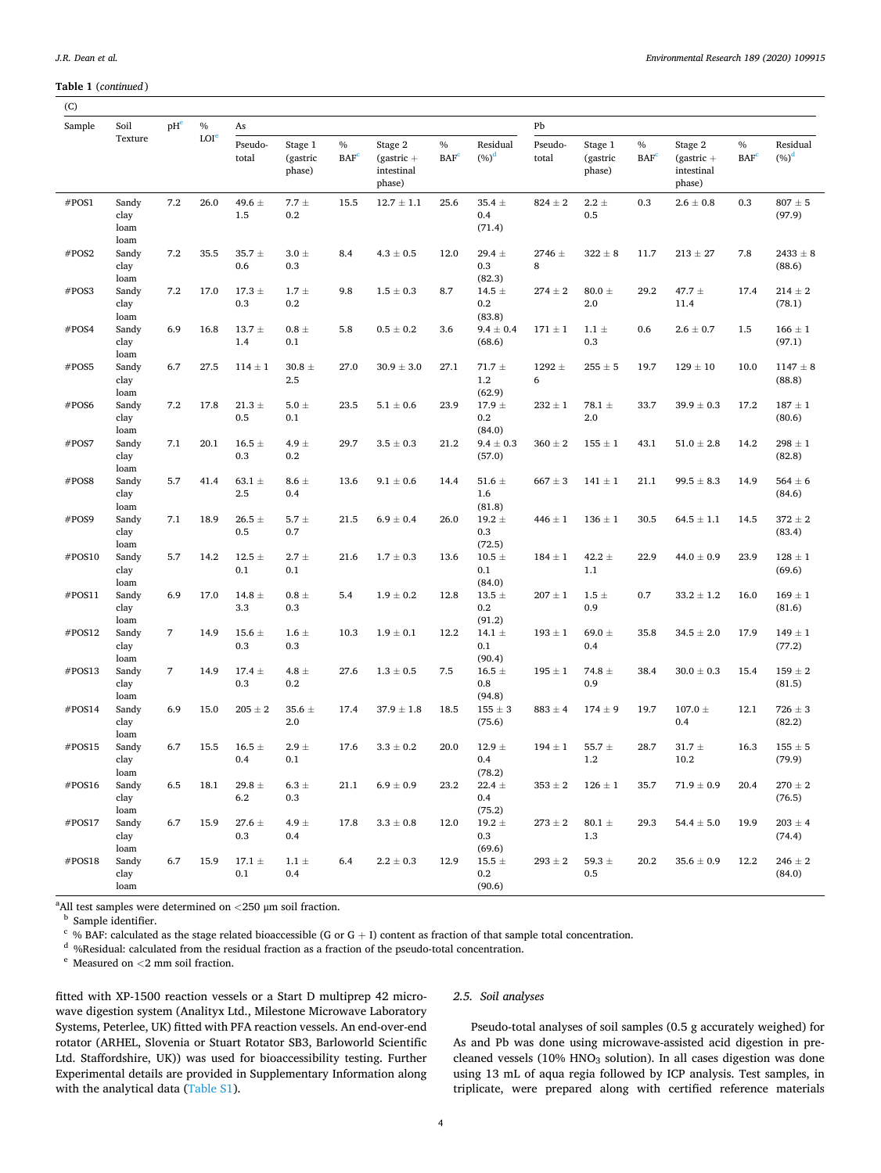#### <span id="page-3-0"></span>**Table 1** (*continued* )

| Sample | Soil                          | pHe | $\%$             | As                |                               |                                 |                                                 |                                          |                                 | Pb               |                               |                    |                                                 |                                 |                        |
|--------|-------------------------------|-----|------------------|-------------------|-------------------------------|---------------------------------|-------------------------------------------------|------------------------------------------|---------------------------------|------------------|-------------------------------|--------------------|-------------------------------------------------|---------------------------------|------------------------|
|        | Texture                       |     | LOI <sup>e</sup> | Pseudo-<br>total  | Stage 1<br>(gastric<br>phase) | $\%$<br><b>BAF</b> <sup>c</sup> | Stage 2<br>$(gastric +$<br>intestinal<br>phase) | $\frac{0}{0}$<br><b>BAF</b> <sup>c</sup> | Residual<br>$(\%)^d$            | Pseudo-<br>total | Stage 1<br>(gastric<br>phase) | $\%$<br><b>BAF</b> | Stage 2<br>$(gastric +$<br>intestinal<br>phase) | $\%$<br><b>BAF</b> <sup>c</sup> | Residual<br>$(\%)^d$   |
| #POS1  | Sandy<br>clay<br>loam<br>loam | 7.2 | 26.0             | 49.6 $\pm$<br>1.5 | 7.7 $\pm$<br>0.2              | 15.5                            | $12.7 \pm 1.1$                                  | 25.6                                     | $35.4 \pm$<br>0.4<br>(71.4)     | $824 \pm 2$      | $2.2 \pm$<br>0.5              | 0.3                | $2.6\pm0.8$                                     | 0.3                             | $807\pm5$<br>(97.9)    |
| #POS2  | Sandy<br>clay<br>loam         | 7.2 | 35.5             | $35.7 \pm$<br>0.6 | $3.0 \pm$<br>0.3              | 8.4                             | $4.3 \pm 0.5$                                   | 12.0                                     | $29.4 \pm$<br>0.3<br>(82.3)     | $2746 \pm$<br>8  | $322 \pm 8$                   | 11.7               | $213 \pm 27$                                    | 7.8                             | $2433 \pm 8$<br>(88.6) |
| #POS3  | Sandy<br>clay<br>loam         | 7.2 | 17.0             | $17.3 \pm$<br>0.3 | $1.7 \pm$<br>0.2              | 9.8                             | $1.5 \pm 0.3$                                   | 8.7                                      | 14.5 $\pm$<br>0.2<br>(83.8)     | $274 \pm 2$      | 80.0 $\pm$<br>2.0             | 29.2               | 47.7 $\pm$<br>11.4                              | 17.4                            | $214\pm2$<br>(78.1)    |
| #POS4  | Sandy<br>clay<br>loam         | 6.9 | 16.8             | $13.7 \pm$<br>1.4 | $0.8\pm$<br>0.1               | 5.8                             | $0.5 \pm 0.2$                                   | 3.6                                      | $9.4 \pm 0.4$<br>(68.6)         | $171 \pm 1$      | $1.1 \pm$<br>0.3              | 0.6                | $2.6 \pm 0.7$                                   | 1.5                             | $166\pm1$<br>(97.1)    |
| #POS5  | Sandy<br>clay<br>loam         | 6.7 | 27.5             | $114 \pm 1$       | 30.8 $\pm$<br>2.5             | 27.0                            | $30.9 \pm 3.0$                                  | 27.1                                     | 71.7 $\pm$<br>1.2<br>(62.9)     | $1292 \pm$<br>6  | $255\pm5$                     | 19.7               | $129 \pm 10$                                    | 10.0                            | $1147 \pm 8$<br>(88.8) |
| #POS6  | Sandy<br>clay<br>loam         | 7.2 | 17.8             | 21.3 $\pm$<br>0.5 | 5.0 $\pm$<br>0.1              | 23.5                            | $5.1 \pm 0.6$                                   | 23.9                                     | 17.9 $\pm$<br>0.2<br>(84.0)     | $232\pm1$        | 78.1 $\pm$<br>2.0             | 33.7               | $39.9 \pm 0.3$                                  | 17.2                            | $187\pm1$<br>(80.6)    |
| #POS7  | Sandy<br>clay<br>loam         | 7.1 | 20.1             | 16.5 $\pm$<br>0.3 | 4.9 $\pm$<br>0.2              | 29.7                            | $3.5 \pm 0.3$                                   | 21.2                                     | $9.4 \pm 0.3$<br>(57.0)         | $360 \pm 2$      | $155 \pm 1$                   | 43.1               | $51.0 \pm 2.8$                                  | 14.2                            | $298 \pm 1$<br>(82.8)  |
| #POS8  | Sandy<br>clay<br>loam         | 5.7 | 41.4             | 63.1 $\pm$<br>2.5 | $8.6 \pm$<br>0.4              | 13.6                            | $9.1\,\pm\,0.6$                                 | 14.4                                     | 51.6 $\pm$<br>1.6<br>(81.8)     | $667 \pm 3$      | $141 \pm 1$                   | 21.1               | $99.5 \pm 8.3$                                  | 14.9                            | $564 \pm 6$<br>(84.6)  |
| #POS9  | Sandy<br>clay<br>loam         | 7.1 | 18.9             | $26.5 \pm$<br>0.5 | 5.7 $\pm$<br>0.7              | 21.5                            | $6.9 \pm 0.4$                                   | 26.0                                     | $19.2 \pm$<br>0.3<br>(72.5)     | $446 \pm 1$      | $136 \pm 1$                   | 30.5               | $64.5 \pm 1.1$                                  | 14.5                            | $372\pm2$<br>(83.4)    |
| #POS10 | Sandy<br>clay<br>loam         | 5.7 | 14.2             | 12.5 $\pm$<br>0.1 | $2.7 \pm$<br>0.1              | 21.6                            | $1.7 \pm 0.3$                                   | 13.6                                     | $10.5 \pm$<br>0.1<br>(84.0)     | $184 \pm 1$      | 42.2 $\pm$<br>1.1             | 22.9               | $44.0 \pm 0.9$                                  | 23.9                            | $128\pm1$<br>(69.6)    |
| #POS11 | Sandy<br>clay<br>loam         | 6.9 | 17.0             | 14.8 $\pm$<br>3.3 | $0.8 \pm$<br>0.3              | 5.4                             | $1.9 \pm 0.2$                                   | 12.8                                     | $13.5 \pm$<br>0.2<br>(91.2)     | $207 \pm 1$      | $1.5 \pm$<br>0.9              | 0.7                | $33.2 \pm 1.2$                                  | 16.0                            | $169 \pm 1$<br>(81.6)  |
| #POS12 | Sandy<br>clay<br>loam         | 7   | 14.9             | 15.6 $\pm$<br>0.3 | 1.6 $\pm$<br>0.3              | 10.3                            | $1.9 \pm 0.1$                                   | 12.2                                     | 14.1 $\pm$<br>0.1<br>(90.4)     | $193 \pm 1$      | 69.0 $\pm$<br>0.4             | 35.8               | $34.5 \pm 2.0$                                  | 17.9                            | $149\pm1$<br>(77.2)    |
| #POS13 | Sandy<br>clay<br>loam         | 7   | 14.9             | $17.4 \pm$<br>0.3 | 4.8 $\pm$<br>0.2              | 27.6                            | $1.3 \pm 0.5$                                   | 7.5                                      | 16.5 $\pm$<br>0.8<br>(94.8)     | $195 \pm 1$      | 74.8 $\pm$<br>0.9             | 38.4               | $30.0 \pm 0.3$                                  | 15.4                            | $159 \pm 2$<br>(81.5)  |
| #POS14 | Sandy<br>clay<br>loam         | 6.9 | 15.0             | $205\pm2$         | 35.6 $\pm$<br>2.0             | 17.4                            | $37.9 \pm 1.8$                                  | 18.5                                     | $155 \pm 3$<br>(75.6)           | $883 \pm 4$      | $174 \pm 9$                   | 19.7               | $107.0 \pm$<br>0.4                              | 12.1                            | $726 \pm 3$<br>(82.2)  |
| #POS15 | Sandy<br>clay<br>loam         | 6.7 | 15.5             | 16.5 $\pm$<br>0.4 | $2.9 \pm$<br>0.1              | 17.6                            | $3.3 \pm 0.2$                                   | 20.0                                     | 12.9 $\pm$<br>0.4<br>(78.2)     | $194 \pm 1$      | 55.7 $\pm$<br>1.2             | 28.7               | 31.7 $\pm$<br>10.2                              | 16.3                            | $155 \pm 5$<br>(79.9)  |
| #POS16 | Sandy<br>clay<br>loam         | 6.5 | 18.1             | 29.8 $\pm$<br>6.2 | $6.3 \pm$<br>0.3              | 21.1                            | $6.9 \pm 0.9$                                   | 23.2                                     | 22.4 $\pm$<br>0.4<br>(75.2)     | $353\pm2$        | $126 \pm 1$                   | 35.7               | $71.9 \pm 0.9$                                  | 20.4                            | $270 \pm 2$<br>(76.5)  |
| #POS17 | Sandy<br>clay<br>loam         | 6.7 | 15.9             | 27.6 $\pm$<br>0.3 | 4.9 $\pm$<br>0.4              | 17.8                            | $3.3\pm0.8$                                     | 12.0                                     | 19.2 $\pm$<br>0.3<br>(69.6)     | $273\pm2$        | 80.1 $\pm$<br>1.3             | 29.3               | $54.4 \pm 5.0$                                  | 19.9                            | $203 \pm 4$<br>(74.4)  |
| #POS18 | Sandy<br>clay<br>loam         | 6.7 | 15.9             | $17.1 \pm$<br>0.1 | $1.1 \pm$<br>0.4              | 6.4                             | $2.2 \pm 0.3$                                   | 12.9                                     | 15.5 $\pm$<br>$0.2\,$<br>(90.6) | $293\pm2$        | 59.3 $\pm$<br>0.5             | 20.2               | $35.6 \pm 0.9$                                  | 12.2                            | $246 \pm 2$<br>(84.0)  |

<sup>a</sup> All test samples were determined on  $\langle 250 \text{ }\mu \text{m} \text{ }$  soil fraction.

<sup>b</sup> Sample identifier.<br><sup>c</sup> % BAF: calculated as the stage related bioaccessible (G or G + I) content as fraction of that sample total concentration.<br><sup>d</sup> %Residual: calculated from the residual fraction as a fraction of th

fitted with XP-1500 reaction vessels or a Start D multiprep 42 microwave digestion system (Analityx Ltd., Milestone Microwave Laboratory Systems, Peterlee, UK) fitted with PFA reaction vessels. An end-over-end rotator (ARHEL, Slovenia or Stuart Rotator SB3, Barloworld Scientific Ltd. Staffordshire, UK)) was used for bioaccessibility testing. Further Experimental details are provided in Supplementary Information along with the analytical data (Table S1).

#### *2.5. Soil analyses*

Pseudo-total analyses of soil samples (0.5 g accurately weighed) for As and Pb was done using microwave-assisted acid digestion in precleaned vessels (10%  $HNO<sub>3</sub>$  solution). In all cases digestion was done using 13 mL of aqua regia followed by ICP analysis. Test samples, in triplicate, were prepared along with certified reference materials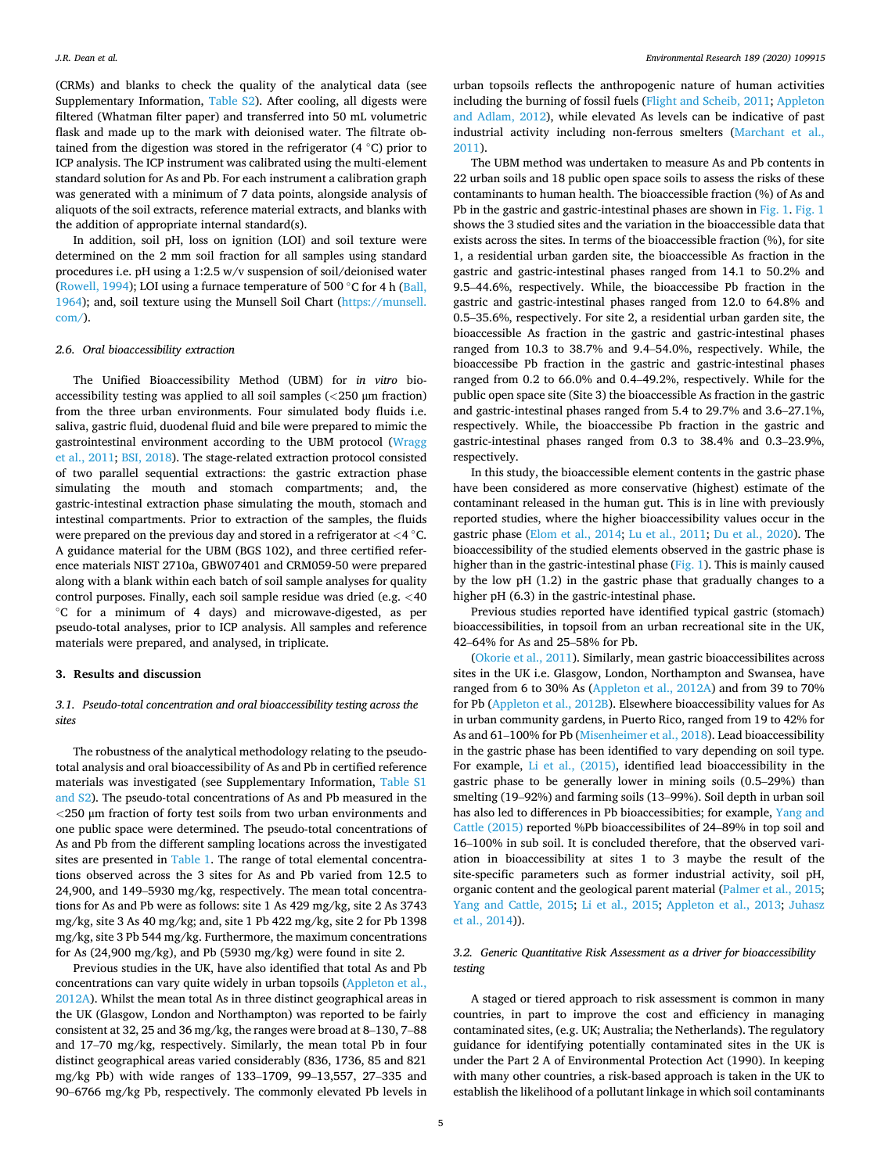(CRMs) and blanks to check the quality of the analytical data (see Supplementary Information, Table S2). After cooling, all digests were filtered (Whatman filter paper) and transferred into 50 mL volumetric flask and made up to the mark with deionised water. The filtrate obtained from the digestion was stored in the refrigerator  $(4 \degree C)$  prior to ICP analysis. The ICP instrument was calibrated using the multi-element standard solution for As and Pb. For each instrument a calibration graph was generated with a minimum of 7 data points, alongside analysis of aliquots of the soil extracts, reference material extracts, and blanks with the addition of appropriate internal standard(s).

In addition, soil pH, loss on ignition (LOI) and soil texture were determined on the 2 mm soil fraction for all samples using standard procedures i.e. pH using a 1:2.5 w/v suspension of soil/deionised water ([Rowell, 1994](#page-8-0)); LOI using a furnace temperature of 500 �C for 4 h ([Ball,](#page-8-0)  [1964\)](#page-8-0); and, soil texture using the Munsell Soil Chart [\(https://munsell.](https://munsell.com/)  [com/](https://munsell.com/)).

#### *2.6. Oral bioaccessibility extraction*

The Unified Bioaccessibility Method (UBM) for *in vitro* bioaccessibility testing was applied to all soil samples (*<*250 μm fraction) from the three urban environments. Four simulated body fluids i.e. saliva, gastric fluid, duodenal fluid and bile were prepared to mimic the gastrointestinal environment according to the UBM protocol ([Wragg](#page-8-0)  [et al., 2011; BSI, 2018](#page-8-0)). The stage-related extraction protocol consisted of two parallel sequential extractions: the gastric extraction phase simulating the mouth and stomach compartments; and, the gastric-intestinal extraction phase simulating the mouth, stomach and intestinal compartments. Prior to extraction of the samples, the fluids were prepared on the previous day and stored in a refrigerator at *<*4 �C. A guidance material for the UBM (BGS 102), and three certified reference materials NIST 2710a, GBW07401 and CRM059-50 were prepared along with a blank within each batch of soil sample analyses for quality control purposes. Finally, each soil sample residue was dried (e.g. *<*40 �C for a minimum of 4 days) and microwave-digested, as per pseudo-total analyses, prior to ICP analysis. All samples and reference materials were prepared, and analysed, in triplicate.

#### **3. Results and discussion**

# *3.1. Pseudo-total concentration and oral bioaccessibility testing across the sites*

The robustness of the analytical methodology relating to the pseudototal analysis and oral bioaccessibility of As and Pb in certified reference materials was investigated (see Supplementary Information, Table S1 and S2). The pseudo-total concentrations of As and Pb measured in the *<*250 μm fraction of forty test soils from two urban environments and one public space were determined. The pseudo-total concentrations of As and Pb from the different sampling locations across the investigated sites are presented in [Table 1.](#page-2-0) The range of total elemental concentrations observed across the 3 sites for As and Pb varied from 12.5 to 24,900, and 149–5930 mg/kg, respectively. The mean total concentrations for As and Pb were as follows: site 1 As 429 mg/kg, site 2 As 3743 mg/kg, site 3 As 40 mg/kg; and, site 1 Pb 422 mg/kg, site 2 for Pb 1398 mg/kg, site 3 Pb 544 mg/kg. Furthermore, the maximum concentrations for As (24,900 mg/kg), and Pb (5930 mg/kg) were found in site 2.

Previous studies in the UK, have also identified that total As and Pb concentrations can vary quite widely in urban topsoils ([Appleton et al.,](#page-8-0)  [2012A\)](#page-8-0). Whilst the mean total As in three distinct geographical areas in the UK (Glasgow, London and Northampton) was reported to be fairly consistent at 32, 25 and 36 mg/kg, the ranges were broad at 8–130, 7–88 and 17–70 mg/kg, respectively. Similarly, the mean total Pb in four distinct geographical areas varied considerably (836, 1736, 85 and 821 mg/kg Pb) with wide ranges of 133–1709, 99–13,557, 27–335 and 90–6766 mg/kg Pb, respectively. The commonly elevated Pb levels in

urban topsoils reflects the anthropogenic nature of human activities including the burning of fossil fuels [\(Flight and Scheib, 2011;](#page-8-0) [Appleton](#page-8-0)  [and Adlam, 2012](#page-8-0)), while elevated As levels can be indicative of past industrial activity including non-ferrous smelters ([Marchant et al.,](#page-8-0)  [2011\)](#page-8-0).

The UBM method was undertaken to measure As and Pb contents in 22 urban soils and 18 public open space soils to assess the risks of these contaminants to human health. The bioaccessible fraction (%) of As and Pb in the gastric and gastric-intestinal phases are shown in [Fig. 1. Fig. 1](#page-5-0)  shows the 3 studied sites and the variation in the bioaccessible data that exists across the sites. In terms of the bioaccessible fraction (%), for site 1, a residential urban garden site, the bioaccessible As fraction in the gastric and gastric-intestinal phases ranged from 14.1 to 50.2% and 9.5–44.6%, respectively. While, the bioaccessibe Pb fraction in the gastric and gastric-intestinal phases ranged from 12.0 to 64.8% and 0.5–35.6%, respectively. For site 2, a residential urban garden site, the bioaccessible As fraction in the gastric and gastric-intestinal phases ranged from 10.3 to 38.7% and 9.4–54.0%, respectively. While, the bioaccessibe Pb fraction in the gastric and gastric-intestinal phases ranged from 0.2 to 66.0% and 0.4–49.2%, respectively. While for the public open space site (Site 3) the bioaccessible As fraction in the gastric and gastric-intestinal phases ranged from 5.4 to 29.7% and 3.6–27.1%, respectively. While, the bioaccessibe Pb fraction in the gastric and gastric-intestinal phases ranged from 0.3 to 38.4% and 0.3–23.9%, respectively.

In this study, the bioaccessible element contents in the gastric phase have been considered as more conservative (highest) estimate of the contaminant released in the human gut. This is in line with previously reported studies, where the higher bioaccessibility values occur in the gastric phase ([Elom et al., 2014](#page-8-0); [Lu et al., 2011;](#page-8-0) [Du et al., 2020](#page-8-0)). The bioaccessibility of the studied elements observed in the gastric phase is higher than in the gastric-intestinal phase ([Fig. 1](#page-5-0)). This is mainly caused by the low pH (1.2) in the gastric phase that gradually changes to a higher pH (6.3) in the gastric-intestinal phase.

Previous studies reported have identified typical gastric (stomach) bioaccessibilities, in topsoil from an urban recreational site in the UK, 42–64% for As and 25–58% for Pb.

([Okorie et al., 2011](#page-8-0)). Similarly, mean gastric bioaccessibilites across sites in the UK i.e. Glasgow, London, Northampton and Swansea, have ranged from 6 to 30% As ([Appleton et al., 2012A\)](#page-8-0) and from 39 to 70% for Pb ([Appleton et al., 2012B](#page-8-0)). Elsewhere bioaccessibility values for As in urban community gardens, in Puerto Rico, ranged from 19 to 42% for As and 61–100% for Pb [\(Misenheimer et al., 2018](#page-8-0)). Lead bioaccessibility in the gastric phase has been identified to vary depending on soil type. For example, [Li et al., \(2015\)](#page-8-0), identified lead bioaccessibility in the gastric phase to be generally lower in mining soils (0.5–29%) than smelting (19–92%) and farming soils (13–99%). Soil depth in urban soil has also led to differences in Pb bioaccessibities; for example, [Yang and](#page-8-0)  [Cattle \(2015\)](#page-8-0) reported %Pb bioaccessibilites of 24–89% in top soil and 16–100% in sub soil. It is concluded therefore, that the observed variation in bioaccessibility at sites 1 to 3 maybe the result of the site-specific parameters such as former industrial activity, soil pH, organic content and the geological parent material [\(Palmer et al., 2015](#page-8-0); [Yang and Cattle, 2015](#page-8-0); [Li et al., 2015](#page-8-0); [Appleton et al., 2013](#page-8-0); [Juhasz](#page-8-0)  [et al., 2014\)](#page-8-0)).

### *3.2. Generic Quantitative Risk Assessment as a driver for bioaccessibility testing*

A staged or tiered approach to risk assessment is common in many countries, in part to improve the cost and efficiency in managing contaminated sites, (e.g. UK; Australia; the Netherlands). The regulatory guidance for identifying potentially contaminated sites in the UK is under the Part 2 A of Environmental Protection Act (1990). In keeping with many other countries, a risk-based approach is taken in the UK to establish the likelihood of a pollutant linkage in which soil contaminants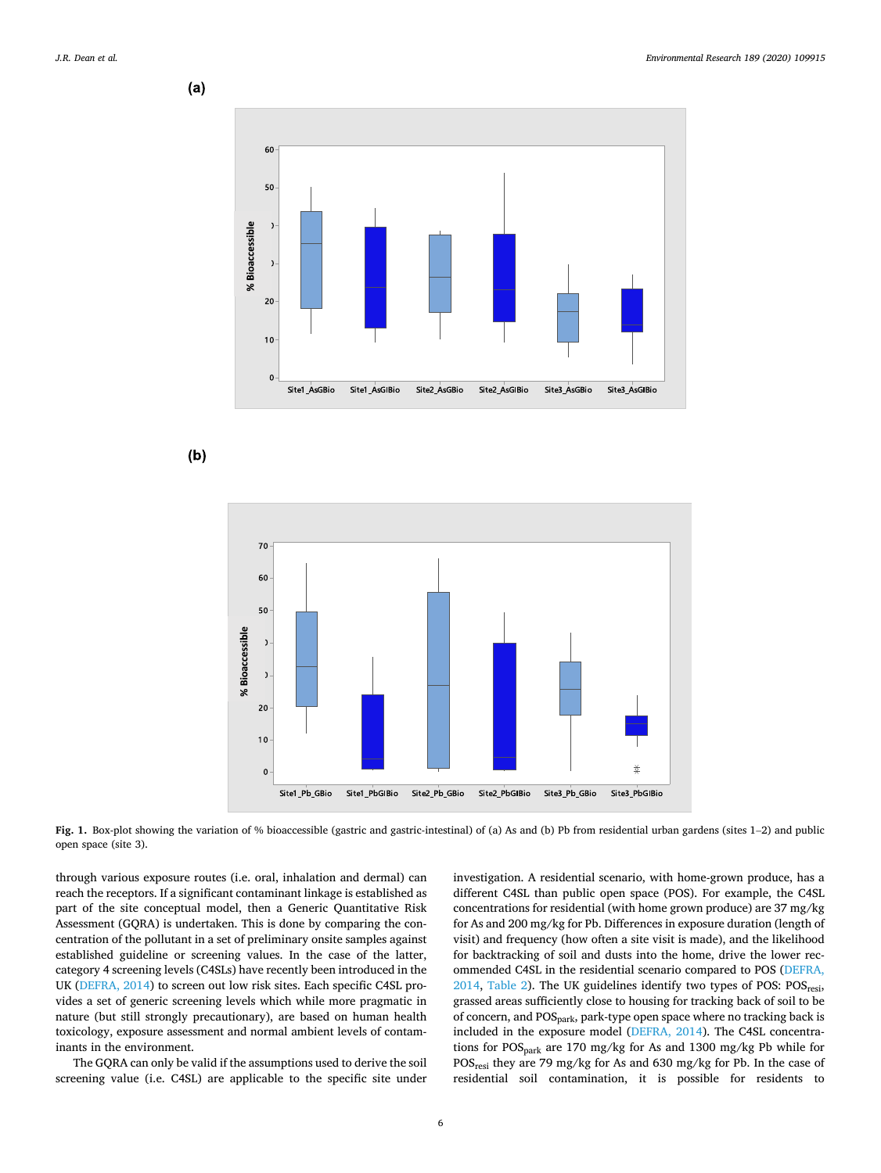<span id="page-5-0"></span>





**Fig. 1.** Box-plot showing the variation of % bioaccessible (gastric and gastric-intestinal) of (a) As and (b) Pb from residential urban gardens (sites 1–2) and public open space (site 3).

through various exposure routes (i.e. oral, inhalation and dermal) can reach the receptors. If a significant contaminant linkage is established as part of the site conceptual model, then a Generic Quantitative Risk Assessment (GQRA) is undertaken. This is done by comparing the concentration of the pollutant in a set of preliminary onsite samples against established guideline or screening values. In the case of the latter, category 4 screening levels (C4SLs) have recently been introduced in the UK ([DEFRA, 2014](#page-8-0)) to screen out low risk sites. Each specific C4SL provides a set of generic screening levels which while more pragmatic in nature (but still strongly precautionary), are based on human health toxicology, exposure assessment and normal ambient levels of contaminants in the environment.

The GQRA can only be valid if the assumptions used to derive the soil screening value (i.e. C4SL) are applicable to the specific site under

investigation. A residential scenario, with home-grown produce, has a different C4SL than public open space (POS). For example, the C4SL concentrations for residential (with home grown produce) are 37 mg/kg for As and 200 mg/kg for Pb. Differences in exposure duration (length of visit) and frequency (how often a site visit is made), and the likelihood for backtracking of soil and dusts into the home, drive the lower recommended C4SL in the residential scenario compared to POS [\(DEFRA,](#page-8-0)  [2014,](#page-8-0) [Table 2\)](#page-6-0). The UK guidelines identify two types of POS:  $POS<sub>resi</sub>$ , grassed areas sufficiently close to housing for tracking back of soil to be of concern, and  $POS<sub>nark</sub>$ , park-type open space where no tracking back is included in the exposure model ([DEFRA, 2014](#page-8-0)). The C4SL concentrations for POSpark are 170 mg/kg for As and 1300 mg/kg Pb while for POSresi they are 79 mg/kg for As and 630 mg/kg for Pb. In the case of residential soil contamination, it is possible for residents to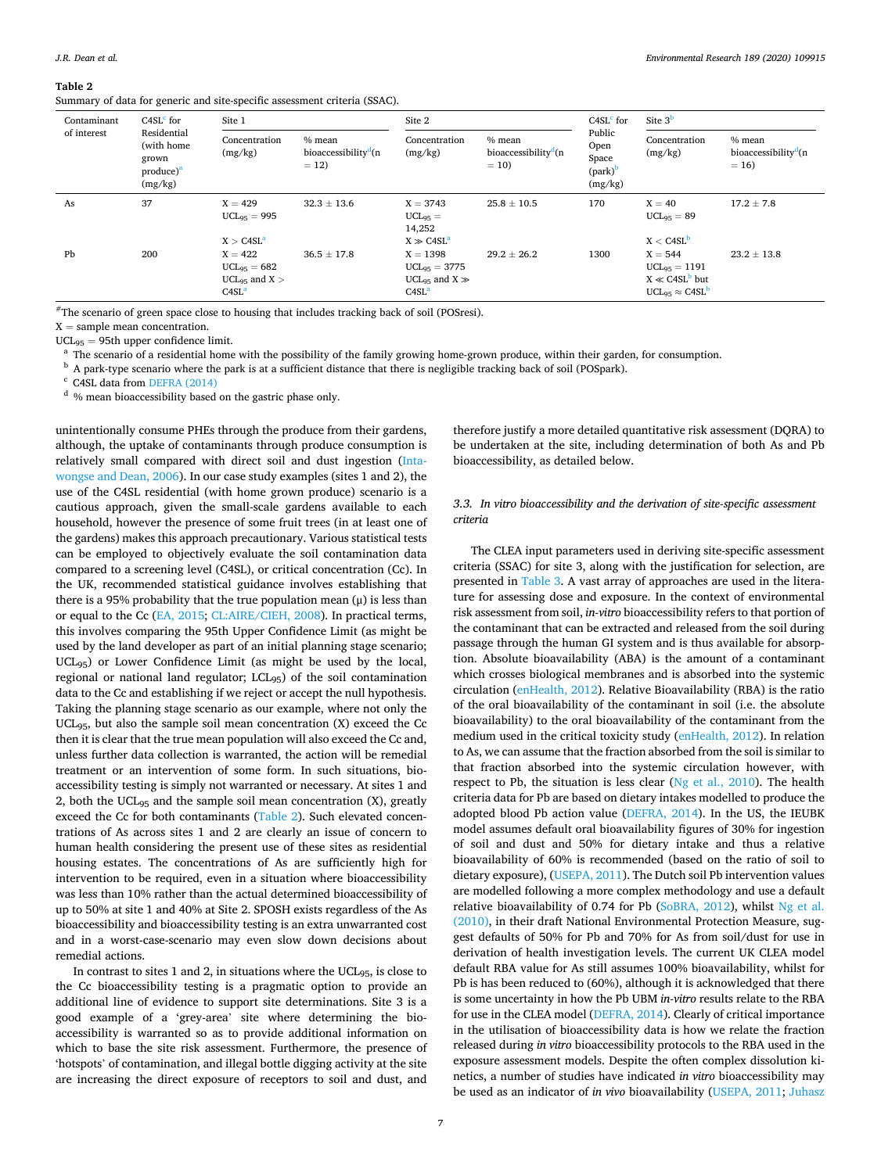<span id="page-6-0"></span>**Table 2** 

Summary of data for generic and site-specific assessment criteria (SSAC).

| Contaminant | $C4SLc$ for                                                   | Site 1                                                                            |                 | Site 2                                                                                |                 | $C4SLc$ for                                                        | Site $3b$                                                                           |                                                      |  |
|-------------|---------------------------------------------------------------|-----------------------------------------------------------------------------------|-----------------|---------------------------------------------------------------------------------------|-----------------|--------------------------------------------------------------------|-------------------------------------------------------------------------------------|------------------------------------------------------|--|
| of interest | Residential<br>(with home<br>grown<br>$product)^a$<br>(mg/kg) | Concentration<br>% mean<br>bioaccessibility <sup>d</sup> (n<br>(mg/kg)<br>$= 12$  |                 | Concentration<br>% mean<br>bioaccessibility <sup>d</sup> (n<br>(mg/kg)<br>$= 10$      |                 | Public<br>Open<br>Space<br>$\text{(park)}^{\mathsf{b}}$<br>(mg/kg) | Concentration<br>(mg/kg)                                                            | % mean<br>bioaccessibility <sup>d</sup> (n<br>$= 16$ |  |
| As          | 37                                                            | $X = 429$<br>$UCL_{95} = 995$<br>X > C4SL <sup>a</sup>                            | $32.3 \pm 13.6$ | $X = 3743$<br>$UCL_{95} =$<br>14,252<br>$X \gg C4SL^a$                                | $25.8 \pm 10.5$ | 170                                                                | $X = 40$<br>$UCL_{95} = 89$<br>$X <$ C4SL <sup>b</sup>                              | $17.2 \pm 7.8$                                       |  |
| Pb          | 200                                                           | $X = 422$<br>$UCL_{95} = 682$<br>UCL <sub>95</sub> and $X >$<br>C4SL <sup>a</sup> | $36.5 \pm 17.8$ | $X = 1398$<br>$UCL_{95} = 3775$<br>UCL <sub>95</sub> and $X \gg$<br>C4SL <sup>a</sup> | $29.2 \pm 26.2$ | 1300                                                               | $X = 544$<br>$UCL_{95} = 1191$<br>$X \ll C4SL^b$ but<br>$UCL_{95} \approx C4SL^{D}$ | $23.2 \pm 13.8$                                      |  |

#The scenario of green space close to housing that includes tracking back of soil (POSresi).

 $X =$  sample mean concentration.<br>UCL<sub>95</sub> = 95th upper confidence limit.

 $^{\rm a}$  The scenario of a residential home with the possibility of the family growing home-grown produce, within their garden, for consumption.  $^{\rm b}$  A park-type scenario where the park is at a sufficient distance that

unintentionally consume PHEs through the produce from their gardens, although, the uptake of contaminants through produce consumption is relatively small compared with direct soil and dust ingestion [\(Inta](#page-8-0)[wongse and Dean, 2006](#page-8-0)). In our case study examples (sites 1 and 2), the use of the C4SL residential (with home grown produce) scenario is a cautious approach, given the small-scale gardens available to each household, however the presence of some fruit trees (in at least one of the gardens) makes this approach precautionary. Various statistical tests can be employed to objectively evaluate the soil contamination data compared to a screening level (C4SL), or critical concentration (Cc). In the UK, recommended statistical guidance involves establishing that there is a 95% probability that the true population mean  $(\mu)$  is less than or equal to the Cc ([EA, 2015](#page-8-0); [CL:AIRE/CIEH, 2008\)](#page-8-0). In practical terms, this involves comparing the 95th Upper Confidence Limit (as might be used by the land developer as part of an initial planning stage scenario; UCL<sub>95</sub>) or Lower Confidence Limit (as might be used by the local, regional or national land regulator; LCL95) of the soil contamination data to the Cc and establishing if we reject or accept the null hypothesis. Taking the planning stage scenario as our example, where not only the UCL95, but also the sample soil mean concentration (X) exceed the Cc then it is clear that the true mean population will also exceed the Cc and, unless further data collection is warranted, the action will be remedial treatment or an intervention of some form. In such situations, bioaccessibility testing is simply not warranted or necessary. At sites 1 and 2, both the UCL<sub>95</sub> and the sample soil mean concentration  $(X)$ , greatly exceed the Cc for both contaminants (Table 2). Such elevated concentrations of As across sites 1 and 2 are clearly an issue of concern to human health considering the present use of these sites as residential housing estates. The concentrations of As are sufficiently high for intervention to be required, even in a situation where bioaccessibility was less than 10% rather than the actual determined bioaccessibility of up to 50% at site 1 and 40% at Site 2. SPOSH exists regardless of the As bioaccessibility and bioaccessibility testing is an extra unwarranted cost and in a worst-case-scenario may even slow down decisions about remedial actions.

In contrast to sites 1 and 2, in situations where the  $UCL_{95}$ , is close to the Cc bioaccessibility testing is a pragmatic option to provide an additional line of evidence to support site determinations. Site 3 is a good example of a 'grey-area' site where determining the bioaccessibility is warranted so as to provide additional information on which to base the site risk assessment. Furthermore, the presence of 'hotspots' of contamination, and illegal bottle digging activity at the site are increasing the direct exposure of receptors to soil and dust, and

therefore justify a more detailed quantitative risk assessment (DQRA) to be undertaken at the site, including determination of both As and Pb bioaccessibility, as detailed below.

# *3.3. In vitro bioaccessibility and the derivation of site-specific assessment criteria*

The CLEA input parameters used in deriving site-specific assessment criteria (SSAC) for site 3, along with the justification for selection, are presented in [Table 3](#page-7-0). A vast array of approaches are used in the literature for assessing dose and exposure. In the context of environmental risk assessment from soil, *in-vitro* bioaccessibility refers to that portion of the contaminant that can be extracted and released from the soil during passage through the human GI system and is thus available for absorption. Absolute bioavailability (ABA) is the amount of a contaminant which crosses biological membranes and is absorbed into the systemic circulation ([enHealth, 2012](#page-8-0)). Relative Bioavailability (RBA) is the ratio of the oral bioavailability of the contaminant in soil (i.e. the absolute bioavailability) to the oral bioavailability of the contaminant from the medium used in the critical toxicity study ([enHealth, 2012](#page-8-0)). In relation to As, we can assume that the fraction absorbed from the soil is similar to that fraction absorbed into the systemic circulation however, with respect to Pb, the situation is less clear ([Ng et al., 2010\)](#page-8-0). The health criteria data for Pb are based on dietary intakes modelled to produce the adopted blood Pb action value ([DEFRA, 2014](#page-8-0)). In the US, the IEUBK model assumes default oral bioavailability figures of 30% for ingestion of soil and dust and 50% for dietary intake and thus a relative bioavailability of 60% is recommended (based on the ratio of soil to dietary exposure), ([USEPA, 2011\)](#page-8-0). The Dutch soil Pb intervention values are modelled following a more complex methodology and use a default relative bioavailability of 0.74 for Pb ([SoBRA, 2012\)](#page-8-0), whilst [Ng et al.](#page-8-0)  [\(2010\),](#page-8-0) in their draft National Environmental Protection Measure, suggest defaults of 50% for Pb and 70% for As from soil/dust for use in derivation of health investigation levels. The current UK CLEA model default RBA value for As still assumes 100% bioavailability, whilst for Pb is has been reduced to (60%), although it is acknowledged that there is some uncertainty in how the Pb UBM *in-vitro* results relate to the RBA for use in the CLEA model ([DEFRA, 2014\)](#page-8-0). Clearly of critical importance in the utilisation of bioaccessibility data is how we relate the fraction released during *in vitro* bioaccessibility protocols to the RBA used in the exposure assessment models. Despite the often complex dissolution kinetics, a number of studies have indicated *in vitro* bioaccessibility may be used as an indicator of *in vivo* bioavailability ([USEPA, 2011](#page-8-0); [Juhasz](#page-8-0)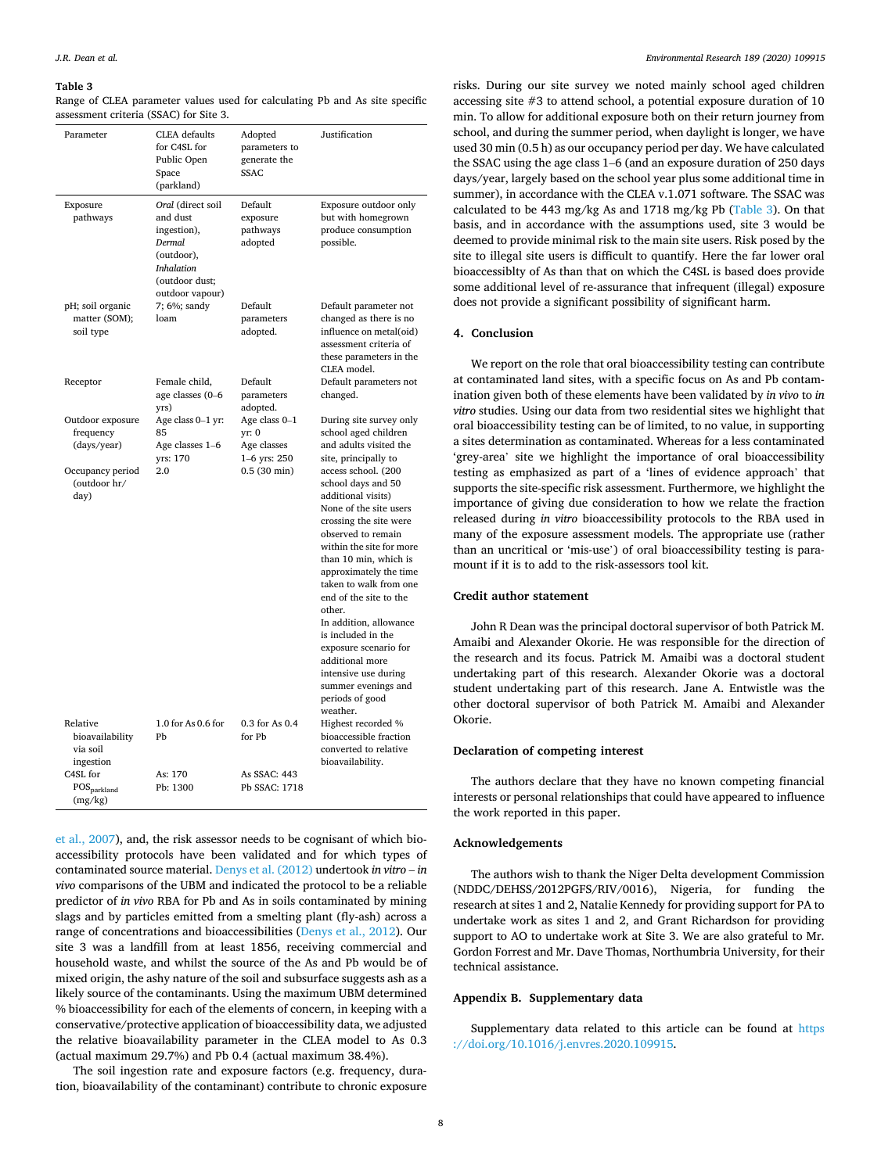#### <span id="page-7-0"></span>**Table 3**

Range of CLEA parameter values used for calculating Pb and As site specific assessment criteria (SSAC) for Site 3.

| Parameter                                                                                | <b>CLEA</b> defaults<br>for C4SL for<br>Public Open<br>Space<br>(parkland)                                                     | Adopted<br>parameters to<br>generate the<br><b>SSAC</b>                        | Justification                                                                                                                                                                                                                                                                                       |
|------------------------------------------------------------------------------------------|--------------------------------------------------------------------------------------------------------------------------------|--------------------------------------------------------------------------------|-----------------------------------------------------------------------------------------------------------------------------------------------------------------------------------------------------------------------------------------------------------------------------------------------------|
| Exposure<br>pathways                                                                     | Oral (direct soil<br>and dust<br>ingestion),<br>Dermal<br>(outdoor),<br><b>Inhalation</b><br>(outdoor dust;<br>outdoor vapour) | Default<br>exposure<br>pathways<br>adopted                                     | Exposure outdoor only<br>but with homegrown<br>produce consumption<br>possible.                                                                                                                                                                                                                     |
| pH; soil organic<br>matter (SOM);<br>soil type                                           | 7; 6%; sandy<br>loam                                                                                                           | Default<br>parameters<br>adopted.                                              | Default parameter not<br>changed as there is no<br>influence on metal(oid)<br>assessment criteria of<br>these parameters in the<br>CLEA model.                                                                                                                                                      |
| Receptor                                                                                 | Female child,<br>age classes (0-6<br>yrs)                                                                                      | Default<br>parameters<br>adopted.                                              | Default parameters not<br>changed.                                                                                                                                                                                                                                                                  |
| Outdoor exposure<br>frequency<br>(days/year)<br>Occupancy period<br>(outdoor hr/<br>day) | Age class 0-1 yr:<br>85<br>Age classes 1-6<br>yrs: 170<br>2.0                                                                  | Age class 0-1<br>yr: 0<br>Age classes<br>1-6 yrs: 250<br>$0.5(30 \text{ min})$ | During site survey only<br>school aged children<br>and adults visited the<br>site, principally to<br>access school. (200<br>school days and 50<br>additional visits)<br>None of the site users<br>crossing the site were<br>observed to remain<br>within the site for more<br>than 10 min, which is |
|                                                                                          |                                                                                                                                |                                                                                | approximately the time<br>taken to walk from one<br>end of the site to the<br>other.<br>In addition, allowance<br>is included in the<br>exposure scenario for<br>additional more<br>intensive use during<br>summer evenings and<br>periods of good<br>weather.                                      |
| Relative<br>bioavailability<br>via soil<br>ingestion                                     | 1.0 for As 0.6 for<br>Pb                                                                                                       | 0.3 for As 0.4<br>for Pb                                                       | Highest recorded %<br>bioaccessible fraction<br>converted to relative<br>bioavailability.                                                                                                                                                                                                           |
| C4SL for<br>$POS_{parkland}$<br>(mg/kg)                                                  | As: 170<br>Pb: 1300                                                                                                            | As SSAC: 443<br>Pb SSAC: 1718                                                  |                                                                                                                                                                                                                                                                                                     |

[et al., 2007\)](#page-8-0), and, the risk assessor needs to be cognisant of which bioaccessibility protocols have been validated and for which types of contaminated source material. [Denys et al. \(2012\)](#page-8-0) undertook *in vitro* – *in vivo* comparisons of the UBM and indicated the protocol to be a reliable predictor of *in vivo* RBA for Pb and As in soils contaminated by mining slags and by particles emitted from a smelting plant (fly-ash) across a range of concentrations and bioaccessibilities [\(Denys et al., 2012\)](#page-8-0). Our site 3 was a landfill from at least 1856, receiving commercial and household waste, and whilst the source of the As and Pb would be of mixed origin, the ashy nature of the soil and subsurface suggests ash as a likely source of the contaminants. Using the maximum UBM determined % bioaccessibility for each of the elements of concern, in keeping with a conservative/protective application of bioaccessibility data, we adjusted the relative bioavailability parameter in the CLEA model to As 0.3 (actual maximum 29.7%) and Pb 0.4 (actual maximum 38.4%).

The soil ingestion rate and exposure factors (e.g. frequency, duration, bioavailability of the contaminant) contribute to chronic exposure risks. During our site survey we noted mainly school aged children accessing site #3 to attend school, a potential exposure duration of 10 min. To allow for additional exposure both on their return journey from school, and during the summer period, when daylight is longer, we have used 30 min (0.5 h) as our occupancy period per day. We have calculated the SSAC using the age class 1–6 (and an exposure duration of 250 days days/year, largely based on the school year plus some additional time in summer), in accordance with the CLEA v.1.071 software. The SSAC was calculated to be 443 mg/kg As and 1718 mg/kg Pb (Table 3). On that basis, and in accordance with the assumptions used, site 3 would be deemed to provide minimal risk to the main site users. Risk posed by the site to illegal site users is difficult to quantify. Here the far lower oral bioaccessiblty of As than that on which the C4SL is based does provide some additional level of re-assurance that infrequent (illegal) exposure does not provide a significant possibility of significant harm.

#### **4. Conclusion**

We report on the role that oral bioaccessibility testing can contribute at contaminated land sites, with a specific focus on As and Pb contamination given both of these elements have been validated by *in vivo* to *in vitro* studies. Using our data from two residential sites we highlight that oral bioaccessibility testing can be of limited, to no value, in supporting a sites determination as contaminated. Whereas for a less contaminated 'grey-area' site we highlight the importance of oral bioaccessibility testing as emphasized as part of a 'lines of evidence approach' that supports the site-specific risk assessment. Furthermore, we highlight the importance of giving due consideration to how we relate the fraction released during *in vitro* bioaccessibility protocols to the RBA used in many of the exposure assessment models. The appropriate use (rather than an uncritical or 'mis-use') of oral bioaccessibility testing is paramount if it is to add to the risk-assessors tool kit.

### **Credit author statement**

John R Dean was the principal doctoral supervisor of both Patrick M. Amaibi and Alexander Okorie. He was responsible for the direction of the research and its focus. Patrick M. Amaibi was a doctoral student undertaking part of this research. Alexander Okorie was a doctoral student undertaking part of this research. Jane A. Entwistle was the other doctoral supervisor of both Patrick M. Amaibi and Alexander Okorie.

### **Declaration of competing interest**

The authors declare that they have no known competing financial interests or personal relationships that could have appeared to influence the work reported in this paper.

#### **Acknowledgements**

The authors wish to thank the Niger Delta development Commission (NDDC/DEHSS/2012PGFS/RIV/0016), Nigeria, for funding the research at sites 1 and 2, Natalie Kennedy for providing support for PA to undertake work as sites 1 and 2, and Grant Richardson for providing support to AO to undertake work at Site 3. We are also grateful to Mr. Gordon Forrest and Mr. Dave Thomas, Northumbria University, for their technical assistance.

## **Appendix B. Supplementary data**

Supplementary data related to this article can be found at [https](https://doi.org/10.1016/j.envres.2020.109915)  [://doi.org/10.1016/j.envres.2020.109915](https://doi.org/10.1016/j.envres.2020.109915).